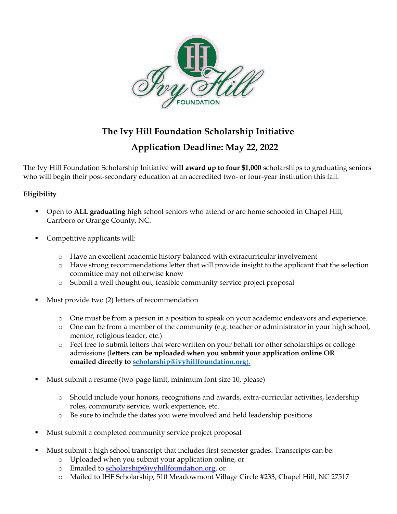

# **The Ivy Hill Foundation Scholarship Initiative**

# **Application Deadline: May 22, 2022**

The Ivy Hill Foundation Scholarship Initiative **will award up to four \$1,000** scholarships to graduating seniors who will begin their post-secondary education at an accredited two- or four-year institution this fall.

## **Eligibility**

- Open to **ALL graduating** high school seniors who attend or are home schooled in Chapel Hill, Carrboro or Orange County, NC.
- Competitive applicants will:
	- o Have an excellent academic history balanced with extracurricular involvement
	- o Have strong recommendations letter that will provide insight to the applicant that the selection committee may not otherwise know
	- o Submit a well thought out, feasible community service project proposal
- Must provide two (2) letters of recommendation
	- o One must be from a person in a position to speak on your academic endeavors and experience.
	- o One can be from a member of the community (e.g. teacher or administrator in your high school, mentor, religious leader, etc.)
	- o Feel free to submit letters that were written on your behalf for other scholarships or college admissions (**letters can be uploaded when you submit your application online OR emailed directly to [scholarship@ivyhillfoundation.org](mailto:scholarship@ivyhillfoundation.org)**).
- Must submit a resume (two-page limit, minimum font size 10, please)
	- o Should include your honors, recognitions and awards, extra-curricular activities, leadership roles, community service, work experience, etc.
	- o Be sure to include the dates you were involved and held leadership positions
- Must submit a completed community service project proposal
- Must submit a high school transcript that includes first semester grades. Transcripts can be:
	- o Uploaded when you submit your application online, or
	- o Emailed to [scholarship@ivyhillfoundation.org,](mailto:scholarship@ivyhillfoundation.org) or
	- o Mailed to IHF Scholarship, 510 Meadowmont Village Circle #233, Chapel Hill, NC 27517